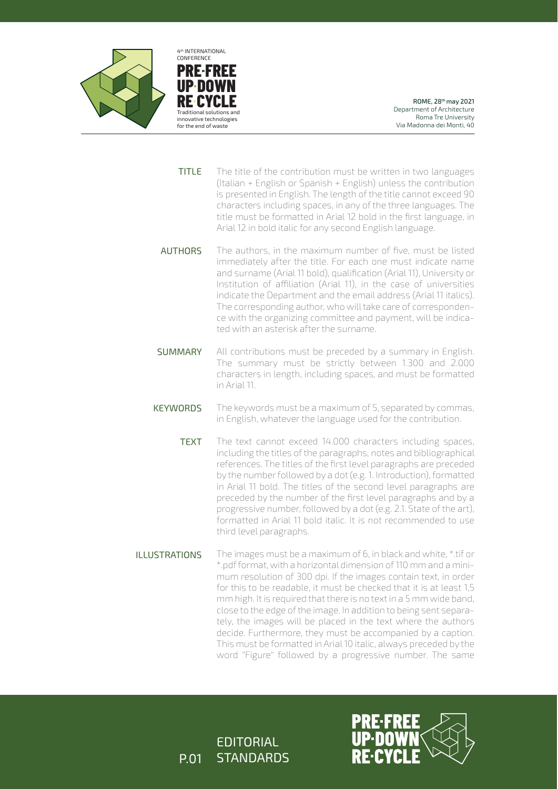

**PRE FREE UP DOWN RE CYCL** Traditional solutions and innovative technologies for the end of waste CONFERENCE

4th INTERNATIONAL

ROME, 28th may 2021 Department of Architecture Roma Tre University Via Madonna dei Monti, 40

- The title of the contribution must be written in two languages (Italian + English or Spanish + English) unless the contribution is presented in English. The length of the title cannot exceed 90 characters including spaces, in any of the three languages. The title must be formatted in Arial 12 bold in the first language, in Arial 12 in bold italic for any second English language. TITLE
- The authors, in the maximum number of five, must be listed immediately after the title. For each one must indicate name and surname (Arial 11 bold), qualification (Arial 11), University or Institution of affiliation (Arial 11), in the case of universities indicate the Department and the email address (Arial 11 italics). The corresponding author, who will take care of correspondence with the organizing committee and payment, will be indicated with an asterisk after the surname. **AUTHORS**
- All contributions must be preceded by a summary in English. The summary must be strictly between 1.300 and 2.000 characters in length, including spaces, and must be formatted in Arial 11. **SUMMARY**
- The keywords must be a maximum of 5, separated by commas, in English, whatever the language used for the contribution. **KEYWORDS** 
	- The text cannot exceed 14.000 characters including spaces, including the titles of the paragraphs, notes and bibliographical references. The titles of the first level paragraphs are preceded by the number followed by a dot (e.g. 1. Introduction), formatted in Arial 11 bold. The titles of the second level paragraphs are preceded by the number of the first level paragraphs and by a progressive number, followed by a dot (e.g. 2.1. State of the art), formatted in Arial 11 bold italic. It is not recommended to use third level paragraphs. TEXT
- The images must be a maximum of 6, in black and white, \*.tif or \*.pdf format, with a horizontal dimension of 110 mm and a minimum resolution of 300 dpi. If the images contain text, in order for this to be readable, it must be checked that it is at least 1,5 mm high. It is required that there is no text in a 5 mm wide band, close to the edge of the image. In addition to being sent separately, the images will be placed in the text where the authors decide. Furthermore, they must be accompanied by a caption. This must be formatted in Arial 10 italic, always preceded by the word "Figure" followed by a progressive number. The same ILLUSTRATIONS

EDITORIAL P.01 STANDARDS